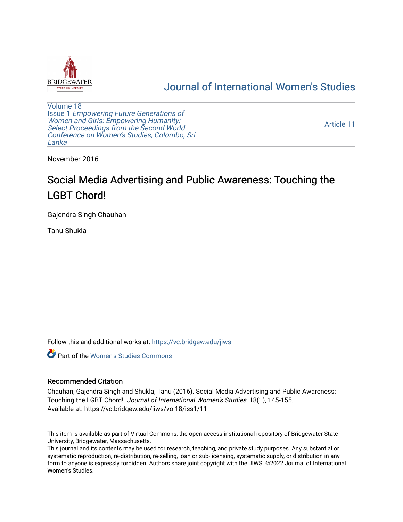

## [Journal of International Women's Studies](https://vc.bridgew.edu/jiws)

[Volume 18](https://vc.bridgew.edu/jiws/vol18) Issue 1 [Empowering Future Generations of](https://vc.bridgew.edu/jiws/vol18/iss1) [Women and Girls: Empowering Humanity:](https://vc.bridgew.edu/jiws/vol18/iss1) [Select Proceedings from the Second World](https://vc.bridgew.edu/jiws/vol18/iss1)  [Conference on Women's Studies, Colombo, Sri](https://vc.bridgew.edu/jiws/vol18/iss1)  [Lanka](https://vc.bridgew.edu/jiws/vol18/iss1) 

[Article 11](https://vc.bridgew.edu/jiws/vol18/iss1/11) 

November 2016

# Social Media Advertising and Public Awareness: Touching the LGBT Chord!

Gajendra Singh Chauhan

Tanu Shukla

Follow this and additional works at: [https://vc.bridgew.edu/jiws](https://vc.bridgew.edu/jiws?utm_source=vc.bridgew.edu%2Fjiws%2Fvol18%2Fiss1%2F11&utm_medium=PDF&utm_campaign=PDFCoverPages)

**C** Part of the Women's Studies Commons

#### Recommended Citation

Chauhan, Gajendra Singh and Shukla, Tanu (2016). Social Media Advertising and Public Awareness: Touching the LGBT Chord!. Journal of International Women's Studies, 18(1), 145-155. Available at: https://vc.bridgew.edu/jiws/vol18/iss1/11

This item is available as part of Virtual Commons, the open-access institutional repository of Bridgewater State University, Bridgewater, Massachusetts.

This journal and its contents may be used for research, teaching, and private study purposes. Any substantial or systematic reproduction, re-distribution, re-selling, loan or sub-licensing, systematic supply, or distribution in any form to anyone is expressly forbidden. Authors share joint copyright with the JIWS. ©2022 Journal of International Women's Studies.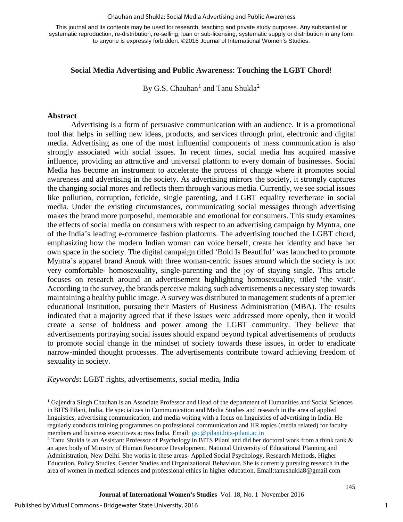#### Chauhan and Shukla: Social Media Advertising and Public Awareness

This journal and its contents may be used for research, teaching and private study purposes. Any substantial or systematic reproduction, re-distribution, re-selling, loan or sub-licensing, systematic supply or distribution in any form to anyone is expressly forbidden. ©2016 Journal of International Women's Studies.

#### **Social Media Advertising and Public Awareness: Touching the LGBT Chord!**

By G.S. Chauhan $^1$  $^1$  and Tanu Shukla<sup>[2](#page-1-1)</sup>

#### **Abstract**

l

Advertising is a form of persuasive communication with an audience. It is a promotional tool that helps in selling new ideas, products, and services through print, electronic and digital media. Advertising as one of the most influential components of mass communication is also strongly associated with social issues. In recent times, social media has acquired massive influence, providing an attractive and universal platform to every domain of businesses. Social Media has become an instrument to accelerate the process of change where it promotes social awareness and advertising in the society. As advertising mirrors the society, it strongly captures the changing social mores and reflects them through various media. Currently, we see social issues like pollution, corruption, feticide, single parenting, and LGBT equality reverberate in social media. Under the existing circumstances, communicating social messages through advertising makes the brand more purposeful, memorable and emotional for consumers. This study examines the effects of social media on consumers with respect to an advertising campaign by Myntra, one of the India's leading e-commerce fashion platforms. The advertising touched the LGBT chord, emphasizing how the modern Indian woman can voice herself, create her identity and have her own space in the society. The digital campaign titled 'Bold Is Beautiful' was launched to promote Myntra's apparel brand Anouk with three woman-centric issues around which the society is not very comfortable- homosexuality, single-parenting and the joy of staying single. This article focuses on research around an advertisement highlighting homosexuality, titled 'the visit'. According to the survey, the brands perceive making such advertisements a necessary step towards maintaining a healthy public image. A survey was distributed to management students of a premier educational institution, pursuing their Masters of Business Administration (MBA). The results indicated that a majority agreed that if these issues were addressed more openly, then it would create a sense of boldness and power among the LGBT community. They believe that advertisements portraying social issues should expand beyond typical advertisements of products to promote social change in the mindset of society towards these issues, in order to eradicate narrow-minded thought processes. The advertisements contribute toward achieving freedom of sexuality in society.

*Keywords***:** LGBT rights, advertisements, social media, India

1

<span id="page-1-0"></span><sup>1</sup> Gajendra Singh Chauhan is an Associate Professor and Head of the department of Humanities and Social Sciences in BITS Pilani, India. He specializes in Communication and Media Studies and research in the area of applied linguistics, advertising communication, and media writing with a focus on linguistics of advertising in India. He regularly conducts training programmes on professional communication and HR topics (media related) for faculty members and business executives across India. Email: <u>gsc@pilani.bits-pilani.ac.in</u><br><sup>2</sup> Tanu Shukla is an Assistant Professor of Psychology in BITS Pilani and did her doctoral work from a think tank &

<span id="page-1-1"></span>an apex body of Ministry of Human Resource Development, National University of Educational Planning and Administration, New Delhi. She works in these areas- Applied Social Psychology, Research Methods, Higher Education, Policy Studies, Gender Studies and Organizational Behaviour. She is currently pursuing research in the area of women in medical sciences and professional ethics in higher education. Email:tanushukla8@gmail.com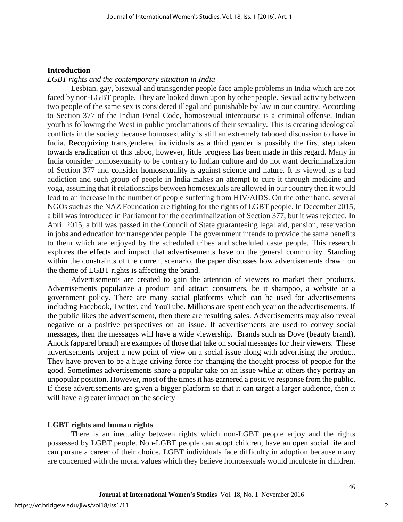#### **Introduction**

#### *LGBT rights and the contemporary situation in India*

Lesbian, gay, bisexual and transgender people face ample problems in India which are not faced by non-LGBT people. They are looked down upon by other people. Sexual activity between two people of the same sex is considered illegal and punishable by law in our country. According to Section 377 of the Indian Penal Code, homosexual intercourse is a criminal offense. Indian youth is following the West in public proclamations of their sexuality. This is creating ideological conflicts in the society because homosexuality is still an extremely tabooed discussion to have in India. Recognizing transgendered individuals as a third gender is possibly the first step taken towards eradication of this taboo, however, little progress has been made in this regard. Many in India consider homosexuality to be contrary to Indian culture and do not want decriminalization of Section 377 and consider homosexuality is against science and nature. It is viewed as a bad addiction and such group of people in India makes an attempt to cure it through medicine and yoga, assuming that if relationships between homosexuals are allowed in our country then it would lead to an increase in the number of people suffering from HIV/AIDS. On the other hand, several NGOs such as the NAZ Foundation are fighting for the rights of LGBT people. In December 2015, a bill was introduced in Parliament for the decriminalization of Section 377, but it was rejected. In April 2015, a bill was passed in the Council of State guaranteeing legal aid, pension, reservation in jobs and education for transgender people. The government intends to provide the same benefits to them which are enjoyed by the scheduled tribes and scheduled caste people. This research explores the effects and impact that advertisements have on the general community. Standing within the constraints of the current scenario, the paper discusses how advertisements drawn on the theme of LGBT rights is affecting the brand.

Advertisements are created to gain the attention of viewers to market their products. Advertisements popularize a product and attract consumers, be it shampoo, a website or a government policy. There are many social platforms which can be used for advertisements including Facebook, Twitter, and YouTube. Millions are spent each year on the advertisements. If the public likes the advertisement, then there are resulting sales. Advertisements may also reveal negative or a positive perspectives on an issue. If advertisements are used to convey social messages, then the messages will have a wide viewership. Brands such as Dove (beauty brand), Anouk (apparel brand) are examples of those that take on social messages for their viewers. These advertisements project a new point of view on a social issue along with advertising the product. They have proven to be a huge driving force for changing the thought process of people for the good. Sometimes advertisements share a popular take on an issue while at others they portray an unpopular position. However, most of the times it has garnered a positive response from the public. If these advertisements are given a bigger platform so that it can target a larger audience, then it will have a greater impact on the society.

### **LGBT rights and human rights**

There is an inequality between rights which non-LGBT people enjoy and the rights possessed by LGBT people. Non-LGBT people can adopt children, have an open social life and can pursue a career of their choice. LGBT individuals face difficulty in adoption because many are concerned with the moral values which they believe homosexuals would inculcate in children.

2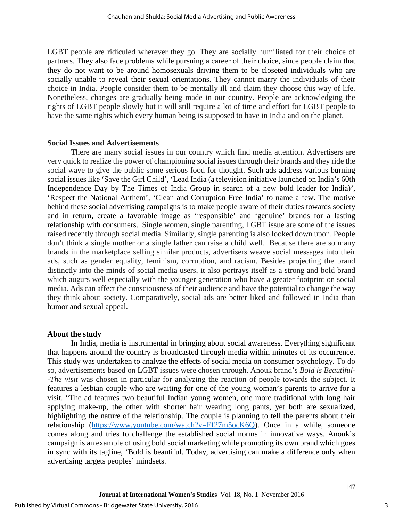LGBT people are ridiculed wherever they go. They are socially humiliated for their choice of partners. They also face problems while pursuing a career of their choice, since people claim that they do not want to be around homosexuals driving them to be closeted individuals who are socially unable to reveal their sexual orientations. They cannot marry the individuals of their choice in India. People consider them to be mentally ill and claim they choose this way of life. Nonetheless, changes are gradually being made in our country. People are acknowledging the rights of LGBT people slowly but it will still require a lot of time and effort for LGBT people to have the same rights which every human being is supposed to have in India and on the planet.

#### **Social Issues and Advertisements**

There are many social issues in our country which find media attention. Advertisers are very quick to realize the power of championing social issues through their brands and they ride the social wave to give the public some serious food for thought. Such ads address various burning social issues like 'Save the Girl Child', 'Lead India (a television initiative launched on India's 60th Independence Day by [The Times of India](https://en.wikipedia.org/wiki/The_Times_of_India) Group in search of a new bold leader for India)', 'Respect the National Anthem', 'Clean and Corruption Free India' to name a few. The motive behind these social advertising campaigns is to make people aware of their duties towards society and in return, create a favorable image as 'responsible' and 'genuine' brands for a lasting relationship with consumers. Single women, single parenting, LGBT issue are some of the issues raised recently through social media. Similarly, single parenting is also looked down upon. People don't think a single mother or a single father can raise a child well. Because there are so many brands in the marketplace selling similar products, advertisers weave social messages into their ads, such as gender equality, feminism, corruption, and racism. Besides projecting the brand distinctly into the minds of social media users, it also portrays itself as a strong and bold brand which augurs well especially with the younger generation who have a greater footprint on social media. Ads can affect the consciousness of their audience and have the potential to change the way they think about society. Comparatively, social ads are better liked and followed in India than humor and sexual appeal.

#### **About the study**

In India, media is instrumental in bringing about social awareness. Everything significant that happens around the country is broadcasted through media within minutes of its occurrence. This study was undertaken to analyze the effects of social media on consumer psychology. To do so, advertisements based on LGBT issues were chosen through. Anouk brand's *Bold is Beautiful- -The visit* was chosen in particular for analyzing the reaction of people towards the subject. It features a lesbian couple who are waiting for one of the young woman's parents to arrive for a visit. "The ad features two beautiful Indian young women, one more traditional with long hair applying make-up, the other with shorter hair wearing long pants, yet both are sexualized, highlighting the nature of the relationship. The couple is planning to tell the parents about their relationship [\(https://www.youtube.com/watch?v=Ef27m5ocK6Q\)](https://www.youtube.com/watch?v=Ef27m5ocK6Q). Once in a while, someone comes along and tries to challenge the established social norms in innovative ways. Anouk's campaign is an example of using bold social marketing while promoting its own brand which goes in sync with its tagline, 'Bold is beautiful. Today, advertising can make a difference only when advertising targets peoples' mindsets.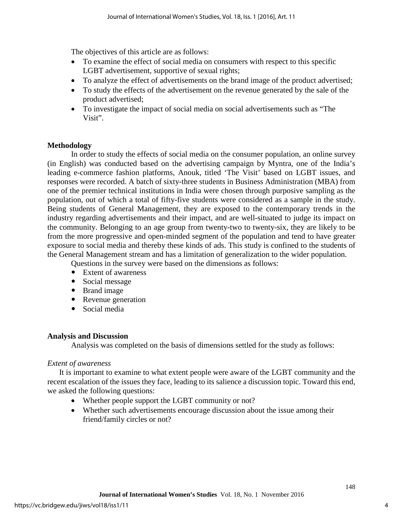The objectives of this article are as follows:

- To examine the effect of social media on consumers with respect to this specific LGBT advertisement, supportive of sexual rights;
- To analyze the effect of advertisements on the brand image of the product advertised;
- To study the effects of the advertisement on the revenue generated by the sale of the product advertised;
- To investigate the impact of social media on social advertisements such as "The Visit".

#### **Methodology**

In order to study the effects of social media on the consumer population, an online survey (in English) was conducted based on the advertising campaign by Myntra, one of the India's leading e-commerce fashion platforms, Anouk, titled 'The Visit' based on LGBT issues, and responses were recorded. A batch of sixty-three students in Business Administration (MBA) from one of the premier technical institutions in India were chosen through purposive sampling as the population, out of which a total of fifty-five students were considered as a sample in the study. Being students of General Management, they are exposed to the contemporary trends in the industry regarding advertisements and their impact, and are well-situated to judge its impact on the community. Belonging to an age group from twenty-two to twenty-six, they are likely to be from the more progressive and open-minded segment of the population and tend to have greater exposure to social media and thereby these kinds of ads. This study is confined to the students of the General Management stream and has a limitation of generalization to the wider population.

Questions in the survey were based on the dimensions as follows:

- Extent of awareness
- Social message
- Brand image
- Revenue generation
- Social media

#### **Analysis and Discussion**

Analysis was completed on the basis of dimensions settled for the study as follows:

### *Extent of awareness*

It is important to examine to what extent people were aware of the LGBT community and the recent escalation of the issues they face, leading to its salience a discussion topic. Toward this end, we asked the following questions:

- Whether people support the LGBT community or not?
- Whether such advertisements encourage discussion about the issue among their friend/family circles or not?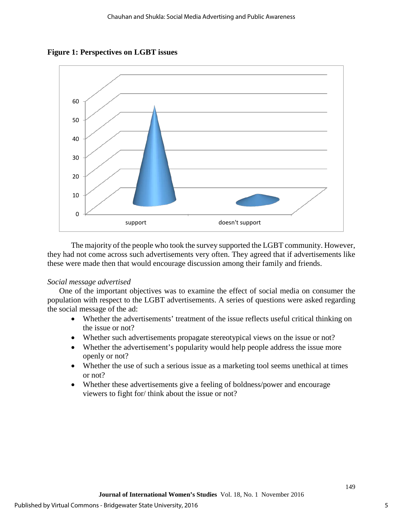**Figure 1: Perspectives on LGBT issues**



The majority of the people who took the survey supported the LGBT community. However, they had not come across such advertisements very often. They agreed that if advertisements like these were made then that would encourage discussion among their family and friends.

#### *Social message advertised*

One of the important objectives was to examine the effect of social media on consumer the population with respect to the LGBT advertisements. A series of questions were asked regarding the social message of the ad:

- Whether the advertisements' treatment of the issue reflects useful critical thinking on the issue or not?
- Whether such advertisements propagate stereotypical views on the issue or not?
- Whether the advertisement's popularity would help people address the issue more openly or not?
- Whether the use of such a serious issue as a marketing tool seems unethical at times or not?
- Whether these advertisements give a feeling of boldness/power and encourage viewers to fight for/ think about the issue or not?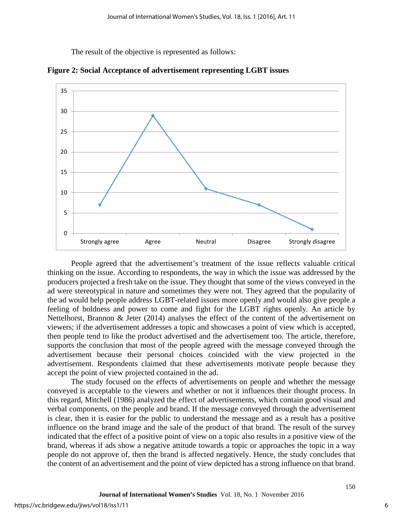The result of the objective is represented as follows:



**Figure 2: Social Acceptance of advertisement representing LGBT issues**

People agreed that the advertisement's treatment of the issue reflects valuable critical thinking on the issue. According to respondents, the way in which the issue was addressed by the producers projected a fresh take on the issue. They thought that some of the views conveyed in the ad were stereotypical in nature and sometimes they were not. They agreed that the popularity of the ad would help people address LGBT-related issues more openly and would also give people a feeling of boldness and power to come and fight for the LGBT rights openly. An article by Nettelhorst, Brannon & Jeter (2014) analyses the effect of the content of the advertisement on viewers; if the advertisement addresses a topic and showcases a point of view which is accepted, then people tend to like the product advertised and the advertisement too. The article, therefore, supports the conclusion that most of the people agreed with the message conveyed through the advertisement because their personal choices coincided with the view projected in the advertisement. Respondents claimed that these advertisements motivate people because they accept the point of view projected contained in the ad.

The study focused on the effects of advertisements on people and whether the message conveyed is acceptable to the viewers and whether or not it influences their thought process. In this regard, Mitchell (1986) analyzed the effect of advertisements, which contain good visual and verbal components, on the people and brand. If the message conveyed through the advertisement is clear, then it is easier for the public to understand the message and as a result has a positive influence on the brand image and the sale of the product of that brand. The result of the survey indicated that the effect of a positive point of view on a topic also results in a positive view of the brand, whereas if ads show a negative attitude towards a topic or approaches the topic in a way people do not approve of, then the brand is affected negatively. Hence, the study concludes that the content of an advertisement and the point of view depicted has a strong influence on that brand.

6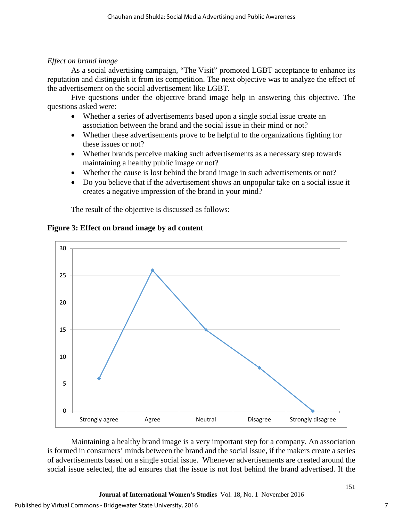#### *Effect on brand image*

As a social advertising campaign, "The Visit" promoted LGBT acceptance to enhance its reputation and distinguish it from its competition. The next objective was to analyze the effect of the advertisement on the social advertisement like LGBT.

Five questions under the objective brand image help in answering this objective. The questions asked were:

- Whether a series of advertisements based upon a single social issue create an association between the brand and the social issue in their mind or not?
- Whether these advertisements prove to be helpful to the organizations fighting for these issues or not?
- Whether brands perceive making such advertisements as a necessary step towards maintaining a healthy public image or not?
- Whether the cause is lost behind the brand image in such advertisements or not?
- Do you believe that if the advertisement shows an unpopular take on a social issue it creates a negative impression of the brand in your mind?

The result of the objective is discussed as follows:



#### **Figure 3: Effect on brand image by ad content**

Maintaining a healthy brand image is a very important step for a company. An association is formed in consumers' minds between the brand and the social issue, if the makers create a series of advertisements based on a single social issue. Whenever advertisements are created around the social issue selected, the ad ensures that the issue is not lost behind the brand advertised. If the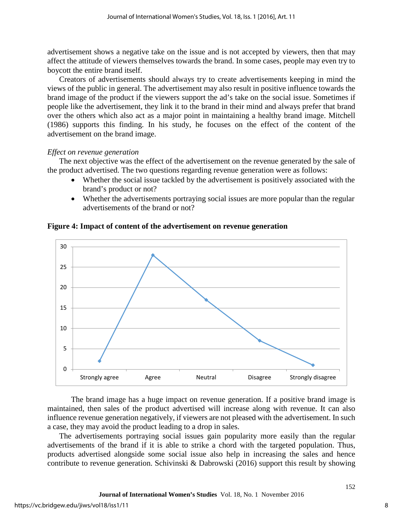advertisement shows a negative take on the issue and is not accepted by viewers, then that may affect the attitude of viewers themselves towards the brand. In some cases, people may even try to boycott the entire brand itself.

Creators of advertisements should always try to create advertisements keeping in mind the views of the public in general. The advertisement may also result in positive influence towards the brand image of the product if the viewers support the ad's take on the social issue. Sometimes if people like the advertisement, they link it to the brand in their mind and always prefer that brand over the others which also act as a major point in maintaining a healthy brand image. Mitchell (1986) supports this finding. In his study, he focuses on the effect of the content of the advertisement on the brand image.

#### *Effect on revenue generation*

The next objective was the effect of the advertisement on the revenue generated by the sale of the product advertised. The two questions regarding revenue generation were as follows:

- Whether the social issue tackled by the advertisement is positively associated with the brand's product or not?
- Whether the advertisements portraying social issues are more popular than the regular advertisements of the brand or not?



#### **Figure 4: Impact of content of the advertisement on revenue generation**

The brand image has a huge impact on revenue generation. If a positive brand image is maintained, then sales of the product advertised will increase along with revenue. It can also influence revenue generation negatively, if viewers are not pleased with the advertisement. In such a case, they may avoid the product leading to a drop in sales.

The advertisements portraying social issues gain popularity more easily than the regular advertisements of the brand if it is able to strike a chord with the targeted population. Thus, products advertised alongside some social issue also help in increasing the sales and hence contribute to revenue generation. Schivinski & Dabrowski (2016) support this result by showing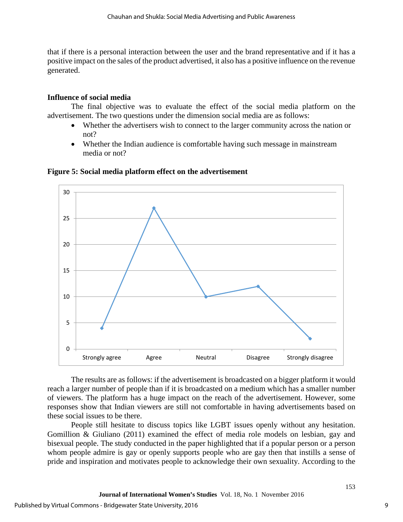that if there is a personal interaction between the user and the brand representative and if it has a positive impact on the sales of the product advertised, it also has a positive influence on the revenue generated.

#### **Influence of social media**

The final objective was to evaluate the effect of the social media platform on the advertisement. The two questions under the dimension social media are as follows:

- Whether the advertisers wish to connect to the larger community across the nation or not?
- Whether the Indian audience is comfortable having such message in mainstream media or not?



#### **Figure 5: Social media platform effect on the advertisement**

The results are as follows: if the advertisement is broadcasted on a bigger platform it would reach a larger number of people than if it is broadcasted on a medium which has a smaller number of viewers. The platform has a huge impact on the reach of the advertisement. However, some responses show that Indian viewers are still not comfortable in having advertisements based on these social issues to be there.

People still hesitate to discuss topics like LGBT issues openly without any hesitation. Gomillion & Giuliano (2011) examined the effect of media role models on lesbian, gay and bisexual people. The study conducted in the paper highlighted that if a popular person or a person whom people admire is gay or openly supports people who are gay then that instills a sense of pride and inspiration and motivates people to acknowledge their own sexuality. According to the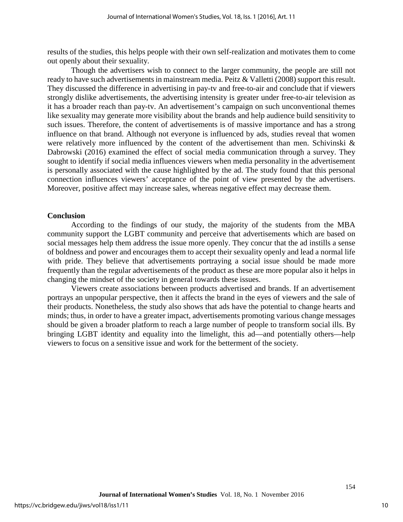results of the studies, this helps people with their own self-realization and motivates them to come out openly about their sexuality.

Though the advertisers wish to connect to the larger community, the people are still not ready to have such advertisements in mainstream media. Peitz & Valletti (2008) support this result. They discussed the difference in advertising in pay-tv and free-to-air and conclude that if viewers strongly dislike advertisements, the advertising intensity is greater under free-to-air television as it has a broader reach than pay-tv. An advertisement's campaign on such unconventional themes like sexuality may generate more visibility about the brands and help audience build sensitivity to such issues. Therefore, the content of advertisements is of massive importance and has a strong influence on that brand. Although not everyone is influenced by ads, studies reveal that women were relatively more influenced by the content of the advertisement than men. Schivinski & Dabrowski (2016) examined the effect of social media communication through a survey. They sought to identify if social media influences viewers when media personality in the advertisement is personally associated with the cause highlighted by the ad. The study found that this personal connection influences viewers' acceptance of the point of view presented by the advertisers. Moreover, positive affect may increase sales, whereas negative effect may decrease them.

#### **Conclusion**

According to the findings of our study, the majority of the students from the MBA community support the LGBT community and perceive that advertisements which are based on social messages help them address the issue more openly. They concur that the ad instills a sense of boldness and power and encourages them to accept their sexuality openly and lead a normal life with pride. They believe that advertisements portraying a social issue should be made more frequently than the regular advertisements of the product as these are more popular also it helps in changing the mindset of the society in general towards these issues.

Viewers create associations between products advertised and brands. If an advertisement portrays an unpopular perspective, then it affects the brand in the eyes of viewers and the sale of their products. Nonetheless, the study also shows that ads have the potential to change hearts and minds; thus, in order to have a greater impact, advertisements promoting various change messages should be given a broader platform to reach a large number of people to transform social ills. By bringing LGBT identity and equality into the limelight, this ad—and potentially others—help viewers to focus on a sensitive issue and work for the betterment of the society.